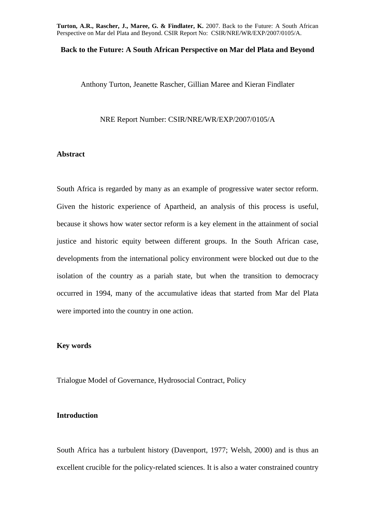## **Back to the Future: A South African Perspective on Mar del Plata and Beyond**

Anthony Turton, Jeanette Rascher, Gillian Maree and Kieran Findlater

NRE Report Number: CSIR/NRE/WR/EXP/2007/0105/A

## **Abstract**

South Africa is regarded by many as an example of progressive water sector reform. Given the historic experience of Apartheid, an analysis of this process is useful, because it shows how water sector reform is a key element in the attainment of social justice and historic equity between different groups. In the South African case, developments from the international policy environment were blocked out due to the isolation of the country as a pariah state, but when the transition to democracy occurred in 1994, many of the accumulative ideas that started from Mar del Plata were imported into the country in one action.

# **Key words**

Trialogue Model of Governance, Hydrosocial Contract, Policy

# **Introduction**

South Africa has a turbulent history (Davenport, 1977; Welsh, 2000) and is thus an excellent crucible for the policy-related sciences. It is also a water constrained country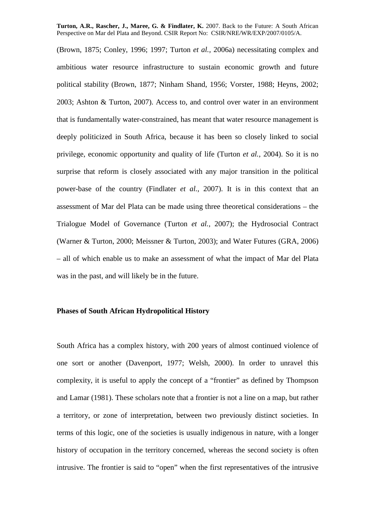(Brown, 1875; Conley, 1996; 1997; Turton *et al.,* 2006a) necessitating complex and ambitious water resource infrastructure to sustain economic growth and future political stability (Brown, 1877; Ninham Shand, 1956; Vorster, 1988; Heyns, 2002; 2003; Ashton & Turton, 2007). Access to, and control over water in an environment that is fundamentally water-constrained, has meant that water resource management is deeply politicized in South Africa, because it has been so closely linked to social privilege, economic opportunity and quality of life (Turton *et al.,* 2004). So it is no surprise that reform is closely associated with any major transition in the political power-base of the country (Findlater *et al.,* 2007). It is in this context that an assessment of Mar del Plata can be made using three theoretical considerations – the Trialogue Model of Governance (Turton *et al.,* 2007); the Hydrosocial Contract (Warner & Turton, 2000; Meissner & Turton, 2003); and Water Futures (GRA, 2006) – all of which enable us to make an assessment of what the impact of Mar del Plata was in the past, and will likely be in the future.

# **Phases of South African Hydropolitical History**

South Africa has a complex history, with 200 years of almost continued violence of one sort or another (Davenport, 1977; Welsh, 2000). In order to unravel this complexity, it is useful to apply the concept of a "frontier" as defined by Thompson and Lamar (1981). These scholars note that a frontier is not a line on a map, but rather a territory, or zone of interpretation, between two previously distinct societies. In terms of this logic, one of the societies is usually indigenous in nature, with a longer history of occupation in the territory concerned, whereas the second society is often intrusive. The frontier is said to "open" when the first representatives of the intrusive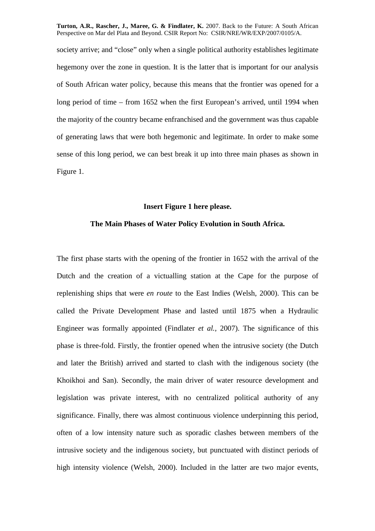society arrive; and "close" only when a single political authority establishes legitimate hegemony over the zone in question. It is the latter that is important for our analysis of South African water policy, because this means that the frontier was opened for a long period of time – from 1652 when the first European's arrived, until 1994 when the majority of the country became enfranchised and the government was thus capable of generating laws that were both hegemonic and legitimate. In order to make some sense of this long period, we can best break it up into three main phases as shown in Figure 1.

# **Insert Figure 1 here please.**

# **The Main Phases of Water Policy Evolution in South Africa.**

The first phase starts with the opening of the frontier in 1652 with the arrival of the Dutch and the creation of a victualling station at the Cape for the purpose of replenishing ships that were *en route* to the East Indies (Welsh, 2000). This can be called the Private Development Phase and lasted until 1875 when a Hydraulic Engineer was formally appointed (Findlater *et al.,* 2007). The significance of this phase is three-fold. Firstly, the frontier opened when the intrusive society (the Dutch and later the British) arrived and started to clash with the indigenous society (the Khoikhoi and San). Secondly, the main driver of water resource development and legislation was private interest, with no centralized political authority of any significance. Finally, there was almost continuous violence underpinning this period, often of a low intensity nature such as sporadic clashes between members of the intrusive society and the indigenous society, but punctuated with distinct periods of high intensity violence (Welsh, 2000). Included in the latter are two major events,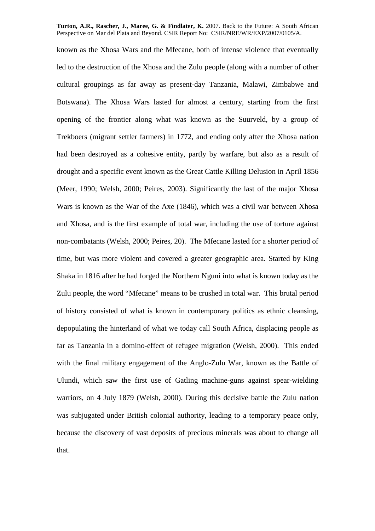known as the Xhosa Wars and the Mfecane, both of intense violence that eventually led to the destruction of the Xhosa and the Zulu people (along with a number of other cultural groupings as far away as present-day Tanzania, Malawi, Zimbabwe and Botswana). The Xhosa Wars lasted for almost a century, starting from the first opening of the frontier along what was known as the Suurveld, by a group of Trekboers (migrant settler farmers) in 1772, and ending only after the Xhosa nation had been destroyed as a cohesive entity, partly by warfare, but also as a result of drought and a specific event known as the Great Cattle Killing Delusion in April 1856 (Meer, 1990; Welsh, 2000; Peires, 2003). Significantly the last of the major Xhosa Wars is known as the War of the Axe (1846), which was a civil war between Xhosa and Xhosa, and is the first example of total war, including the use of torture against non-combatants (Welsh, 2000; Peires, 20). The Mfecane lasted for a shorter period of time, but was more violent and covered a greater geographic area. Started by King Shaka in 1816 after he had forged the Northern Nguni into what is known today as the Zulu people, the word "Mfecane" means to be crushed in total war. This brutal period of history consisted of what is known in contemporary politics as ethnic cleansing, depopulating the hinterland of what we today call South Africa, displacing people as far as Tanzania in a domino-effect of refugee migration (Welsh, 2000). This ended with the final military engagement of the Anglo-Zulu War, known as the Battle of Ulundi, which saw the first use of Gatling machine-guns against spear-wielding warriors, on 4 July 1879 (Welsh, 2000). During this decisive battle the Zulu nation was subjugated under British colonial authority, leading to a temporary peace only, because the discovery of vast deposits of precious minerals was about to change all that.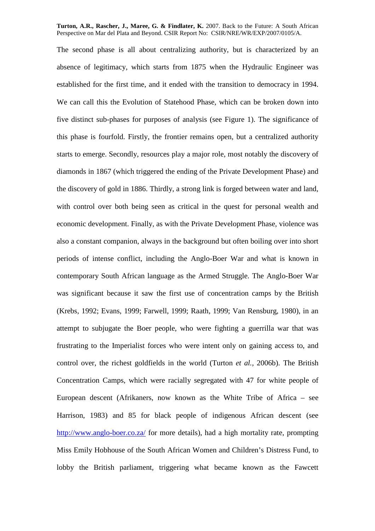The second phase is all about centralizing authority, but is characterized by an absence of legitimacy, which starts from 1875 when the Hydraulic Engineer was established for the first time, and it ended with the transition to democracy in 1994. We can call this the Evolution of Statehood Phase, which can be broken down into five distinct sub-phases for purposes of analysis (see Figure 1). The significance of this phase is fourfold. Firstly, the frontier remains open, but a centralized authority starts to emerge. Secondly, resources play a major role, most notably the discovery of diamonds in 1867 (which triggered the ending of the Private Development Phase) and the discovery of gold in 1886. Thirdly, a strong link is forged between water and land, with control over both being seen as critical in the quest for personal wealth and economic development. Finally, as with the Private Development Phase, violence was also a constant companion, always in the background but often boiling over into short periods of intense conflict, including the Anglo-Boer War and what is known in contemporary South African language as the Armed Struggle. The Anglo-Boer War was significant because it saw the first use of concentration camps by the British (Krebs, 1992; Evans, 1999; Farwell, 1999; Raath, 1999; Van Rensburg, 1980), in an attempt to subjugate the Boer people, who were fighting a guerrilla war that was frustrating to the Imperialist forces who were intent only on gaining access to, and control over, the richest goldfields in the world (Turton *et al.,* 2006b). The British Concentration Camps, which were racially segregated with 47 for white people of European descent (Afrikaners, now known as the White Tribe of Africa – see Harrison, 1983) and 85 for black people of indigenous African descent (see http://www.anglo-boer.co.za/ for more details), had a high mortality rate, prompting Miss Emily Hobhouse of the South African Women and Children's Distress Fund, to lobby the British parliament, triggering what became known as the Fawcett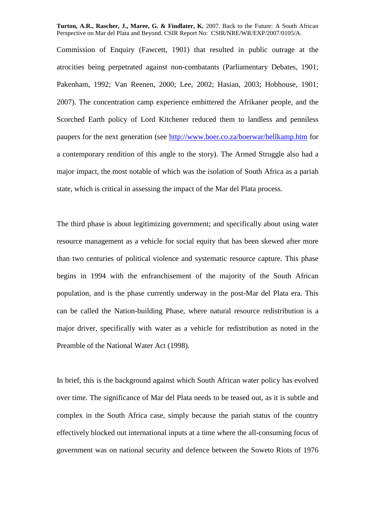Commission of Enquiry (Fawcett, 1901) that resulted in public outrage at the atrocities being perpetrated against non-combatants (Parliamentary Debates, 1901; Pakenham, 1992; Van Reenen, 2000; Lee, 2002; Hasian, 2003; Hobhouse, 1901; 2007). The concentration camp experience embittered the Afrikaner people, and the Scorched Earth policy of Lord Kitchener reduced them to landless and penniless paupers for the next generation (see http://www.boer.co.za/boerwar/hellkamp.htm for a contemporary rendition of this angle to the story). The Armed Struggle also had a major impact, the most notable of which was the isolation of South Africa as a pariah state, which is critical in assessing the impact of the Mar del Plata process.

The third phase is about legitimizing government; and specifically about using water resource management as a vehicle for social equity that has been skewed after more than two centuries of political violence and systematic resource capture. This phase begins in 1994 with the enfranchisement of the majority of the South African population, and is the phase currently underway in the post-Mar del Plata era. This can be called the Nation-building Phase, where natural resource redistribution is a major driver, specifically with water as a vehicle for redistribution as noted in the Preamble of the National Water Act (1998).

In brief, this is the background against which South African water policy has evolved over time. The significance of Mar del Plata needs to be teased out, as it is subtle and complex in the South Africa case, simply because the pariah status of the country effectively blocked out international inputs at a time where the all-consuming focus of government was on national security and defence between the Soweto Riots of 1976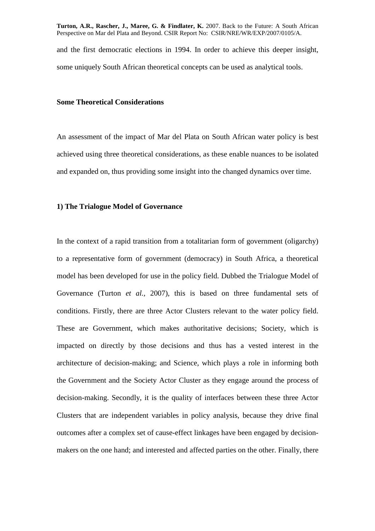and the first democratic elections in 1994. In order to achieve this deeper insight, some uniquely South African theoretical concepts can be used as analytical tools.

# **Some Theoretical Considerations**

An assessment of the impact of Mar del Plata on South African water policy is best achieved using three theoretical considerations, as these enable nuances to be isolated and expanded on, thus providing some insight into the changed dynamics over time.

## **1) The Trialogue Model of Governance**

In the context of a rapid transition from a totalitarian form of government (oligarchy) to a representative form of government (democracy) in South Africa, a theoretical model has been developed for use in the policy field. Dubbed the Trialogue Model of Governance (Turton *et al.,* 2007), this is based on three fundamental sets of conditions. Firstly, there are three Actor Clusters relevant to the water policy field. These are Government, which makes authoritative decisions; Society, which is impacted on directly by those decisions and thus has a vested interest in the architecture of decision-making; and Science, which plays a role in informing both the Government and the Society Actor Cluster as they engage around the process of decision-making. Secondly, it is the quality of interfaces between these three Actor Clusters that are independent variables in policy analysis, because they drive final outcomes after a complex set of cause-effect linkages have been engaged by decisionmakers on the one hand; and interested and affected parties on the other. Finally, there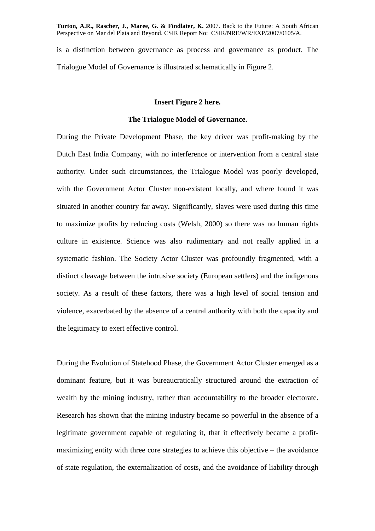is a distinction between governance as process and governance as product. The Trialogue Model of Governance is illustrated schematically in Figure 2.

# **Insert Figure 2 here.**

#### **The Trialogue Model of Governance.**

During the Private Development Phase, the key driver was profit-making by the Dutch East India Company, with no interference or intervention from a central state authority. Under such circumstances, the Trialogue Model was poorly developed, with the Government Actor Cluster non-existent locally, and where found it was situated in another country far away. Significantly, slaves were used during this time to maximize profits by reducing costs (Welsh, 2000) so there was no human rights culture in existence. Science was also rudimentary and not really applied in a systematic fashion. The Society Actor Cluster was profoundly fragmented, with a distinct cleavage between the intrusive society (European settlers) and the indigenous society. As a result of these factors, there was a high level of social tension and violence, exacerbated by the absence of a central authority with both the capacity and the legitimacy to exert effective control.

During the Evolution of Statehood Phase, the Government Actor Cluster emerged as a dominant feature, but it was bureaucratically structured around the extraction of wealth by the mining industry, rather than accountability to the broader electorate. Research has shown that the mining industry became so powerful in the absence of a legitimate government capable of regulating it, that it effectively became a profitmaximizing entity with three core strategies to achieve this objective – the avoidance of state regulation, the externalization of costs, and the avoidance of liability through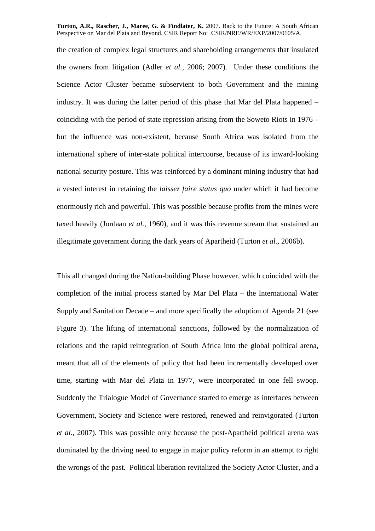the creation of complex legal structures and shareholding arrangements that insulated the owners from litigation (Adler *et al.,* 2006; 2007). Under these conditions the Science Actor Cluster became subservient to both Government and the mining industry. It was during the latter period of this phase that Mar del Plata happened – coinciding with the period of state repression arising from the Soweto Riots in 1976 – but the influence was non-existent, because South Africa was isolated from the international sphere of inter-state political intercourse, because of its inward-looking national security posture. This was reinforced by a dominant mining industry that had a vested interest in retaining the *laissez faire status quo* under which it had become enormously rich and powerful. This was possible because profits from the mines were taxed heavily (Jordaan *et al.,* 1960), and it was this revenue stream that sustained an illegitimate government during the dark years of Apartheid (Turton *et al.,* 2006b).

This all changed during the Nation-building Phase however, which coincided with the completion of the initial process started by Mar Del Plata – the International Water Supply and Sanitation Decade – and more specifically the adoption of Agenda 21 (see Figure 3). The lifting of international sanctions, followed by the normalization of relations and the rapid reintegration of South Africa into the global political arena, meant that all of the elements of policy that had been incrementally developed over time, starting with Mar del Plata in 1977, were incorporated in one fell swoop. Suddenly the Trialogue Model of Governance started to emerge as interfaces between Government, Society and Science were restored, renewed and reinvigorated (Turton *et al.,* 2007). This was possible only because the post-Apartheid political arena was dominated by the driving need to engage in major policy reform in an attempt to right the wrongs of the past. Political liberation revitalized the Society Actor Cluster, and a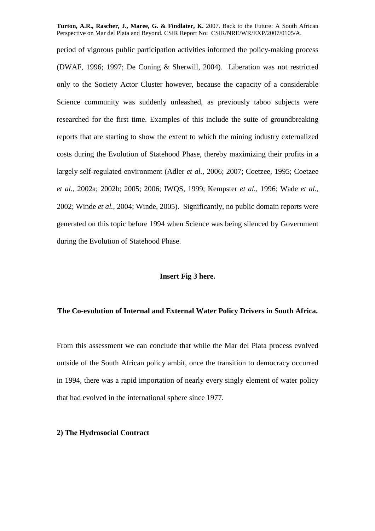period of vigorous public participation activities informed the policy-making process (DWAF, 1996; 1997; De Coning & Sherwill, 2004). Liberation was not restricted only to the Society Actor Cluster however, because the capacity of a considerable Science community was suddenly unleashed, as previously taboo subjects were researched for the first time. Examples of this include the suite of groundbreaking reports that are starting to show the extent to which the mining industry externalized costs during the Evolution of Statehood Phase, thereby maximizing their profits in a largely self-regulated environment (Adler *et al.,* 2006; 2007; Coetzee, 1995; Coetzee *et al.,* 2002a; 2002b; 2005; 2006; IWQS, 1999; Kempster *et al.,* 1996; Wade *et al.,* 2002; Winde *et al.,* 2004; Winde, 2005). Significantly, no public domain reports were generated on this topic before 1994 when Science was being silenced by Government during the Evolution of Statehood Phase.

## **Insert Fig 3 here.**

# **The Co-evolution of Internal and External Water Policy Drivers in South Africa.**

From this assessment we can conclude that while the Mar del Plata process evolved outside of the South African policy ambit, once the transition to democracy occurred in 1994, there was a rapid importation of nearly every singly element of water policy that had evolved in the international sphere since 1977.

# **2) The Hydrosocial Contract**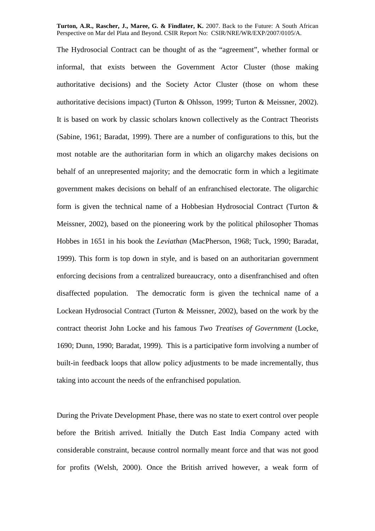The Hydrosocial Contract can be thought of as the "agreement", whether formal or informal, that exists between the Government Actor Cluster (those making authoritative decisions) and the Society Actor Cluster (those on whom these authoritative decisions impact) (Turton & Ohlsson, 1999; Turton & Meissner, 2002). It is based on work by classic scholars known collectively as the Contract Theorists (Sabine, 1961; Baradat, 1999). There are a number of configurations to this, but the most notable are the authoritarian form in which an oligarchy makes decisions on behalf of an unrepresented majority; and the democratic form in which a legitimate government makes decisions on behalf of an enfranchised electorate. The oligarchic form is given the technical name of a Hobbesian Hydrosocial Contract (Turton & Meissner, 2002), based on the pioneering work by the political philosopher Thomas Hobbes in 1651 in his book the *Leviathan* (MacPherson, 1968; Tuck, 1990; Baradat, 1999). This form is top down in style, and is based on an authoritarian government enforcing decisions from a centralized bureaucracy, onto a disenfranchised and often disaffected population. The democratic form is given the technical name of a Lockean Hydrosocial Contract (Turton & Meissner, 2002), based on the work by the contract theorist John Locke and his famous *Two Treatises of Government* (Locke, 1690; Dunn, 1990; Baradat, 1999). This is a participative form involving a number of built-in feedback loops that allow policy adjustments to be made incrementally, thus taking into account the needs of the enfranchised population.

During the Private Development Phase, there was no state to exert control over people before the British arrived. Initially the Dutch East India Company acted with considerable constraint, because control normally meant force and that was not good for profits (Welsh, 2000). Once the British arrived however, a weak form of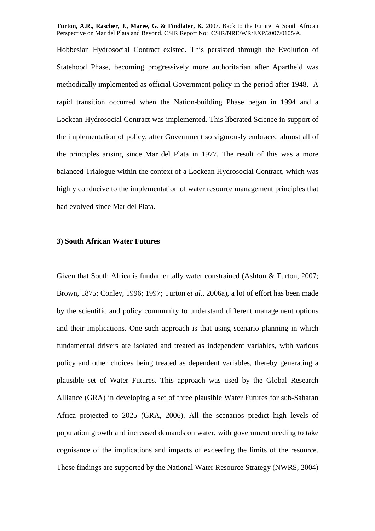Hobbesian Hydrosocial Contract existed. This persisted through the Evolution of Statehood Phase, becoming progressively more authoritarian after Apartheid was methodically implemented as official Government policy in the period after 1948. A rapid transition occurred when the Nation-building Phase began in 1994 and a Lockean Hydrosocial Contract was implemented. This liberated Science in support of the implementation of policy, after Government so vigorously embraced almost all of the principles arising since Mar del Plata in 1977. The result of this was a more balanced Trialogue within the context of a Lockean Hydrosocial Contract, which was highly conducive to the implementation of water resource management principles that had evolved since Mar del Plata.

## **3) South African Water Futures**

Given that South Africa is fundamentally water constrained (Ashton & Turton, 2007; Brown, 1875; Conley, 1996; 1997; Turton *et al.,* 2006a), a lot of effort has been made by the scientific and policy community to understand different management options and their implications. One such approach is that using scenario planning in which fundamental drivers are isolated and treated as independent variables, with various policy and other choices being treated as dependent variables, thereby generating a plausible set of Water Futures. This approach was used by the Global Research Alliance (GRA) in developing a set of three plausible Water Futures for sub-Saharan Africa projected to 2025 (GRA, 2006). All the scenarios predict high levels of population growth and increased demands on water, with government needing to take cognisance of the implications and impacts of exceeding the limits of the resource. These findings are supported by the National Water Resource Strategy (NWRS, 2004)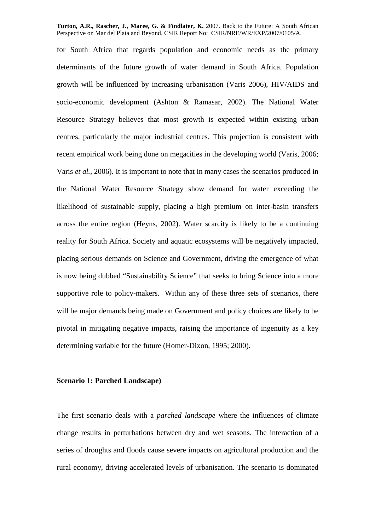for South Africa that regards population and economic needs as the primary determinants of the future growth of water demand in South Africa. Population growth will be influenced by increasing urbanisation (Varis 2006), HIV/AIDS and socio-economic development (Ashton & Ramasar, 2002). The National Water Resource Strategy believes that most growth is expected within existing urban centres, particularly the major industrial centres. This projection is consistent with recent empirical work being done on megacities in the developing world (Varis, 2006; Varis *et al.,* 2006). It is important to note that in many cases the scenarios produced in the National Water Resource Strategy show demand for water exceeding the likelihood of sustainable supply, placing a high premium on inter-basin transfers across the entire region (Heyns, 2002). Water scarcity is likely to be a continuing reality for South Africa. Society and aquatic ecosystems will be negatively impacted, placing serious demands on Science and Government, driving the emergence of what is now being dubbed "Sustainability Science" that seeks to bring Science into a more supportive role to policy-makers. Within any of these three sets of scenarios, there will be major demands being made on Government and policy choices are likely to be pivotal in mitigating negative impacts, raising the importance of ingenuity as a key determining variable for the future (Homer-Dixon, 1995; 2000).

## **Scenario 1: Parched Landscape)**

The first scenario deals with a *parched landscape* where the influences of climate change results in perturbations between dry and wet seasons. The interaction of a series of droughts and floods cause severe impacts on agricultural production and the rural economy, driving accelerated levels of urbanisation. The scenario is dominated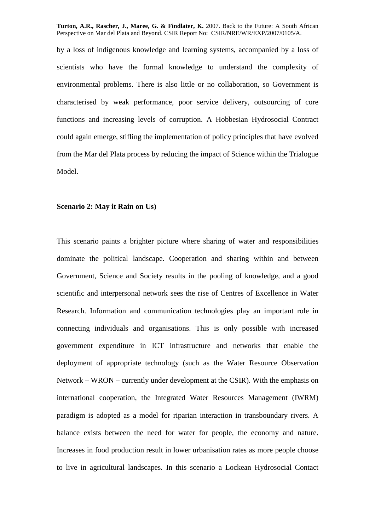by a loss of indigenous knowledge and learning systems, accompanied by a loss of scientists who have the formal knowledge to understand the complexity of environmental problems. There is also little or no collaboration, so Government is characterised by weak performance, poor service delivery, outsourcing of core functions and increasing levels of corruption. A Hobbesian Hydrosocial Contract could again emerge, stifling the implementation of policy principles that have evolved from the Mar del Plata process by reducing the impact of Science within the Trialogue Model.

# **Scenario 2: May it Rain on Us)**

This scenario paints a brighter picture where sharing of water and responsibilities dominate the political landscape. Cooperation and sharing within and between Government, Science and Society results in the pooling of knowledge, and a good scientific and interpersonal network sees the rise of Centres of Excellence in Water Research. Information and communication technologies play an important role in connecting individuals and organisations. This is only possible with increased government expenditure in ICT infrastructure and networks that enable the deployment of appropriate technology (such as the Water Resource Observation Network – WRON – currently under development at the CSIR). With the emphasis on international cooperation, the Integrated Water Resources Management (IWRM) paradigm is adopted as a model for riparian interaction in transboundary rivers. A balance exists between the need for water for people, the economy and nature. Increases in food production result in lower urbanisation rates as more people choose to live in agricultural landscapes. In this scenario a Lockean Hydrosocial Contact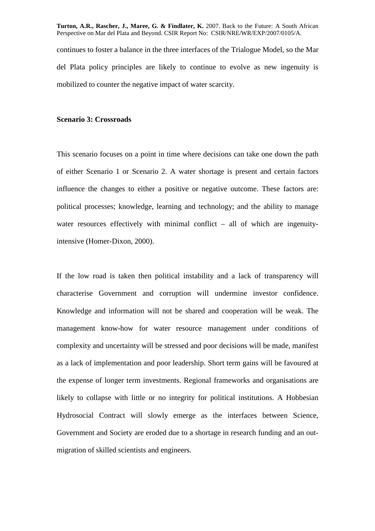continues to foster a balance in the three interfaces of the Trialogue Model, so the Mar del Plata policy principles are likely to continue to evolve as new ingenuity is mobilized to counter the negative impact of water scarcity.

## **Scenario 3: Crossroads**

This scenario focuses on a point in time where decisions can take one down the path of either Scenario 1 or Scenario 2. A water shortage is present and certain factors influence the changes to either a positive or negative outcome. These factors are: political processes; knowledge, learning and technology; and the ability to manage water resources effectively with minimal conflict – all of which are ingenuityintensive (Homer-Dixon, 2000).

If the low road is taken then political instability and a lack of transparency will characterise Government and corruption will undermine investor confidence. Knowledge and information will not be shared and cooperation will be weak. The management know-how for water resource management under conditions of complexity and uncertainty will be stressed and poor decisions will be made, manifest as a lack of implementation and poor leadership. Short term gains will be favoured at the expense of longer term investments. Regional frameworks and organisations are likely to collapse with little or no integrity for political institutions. A Hobbesian Hydrosocial Contract will slowly emerge as the interfaces between Science, Government and Society are eroded due to a shortage in research funding and an outmigration of skilled scientists and engineers.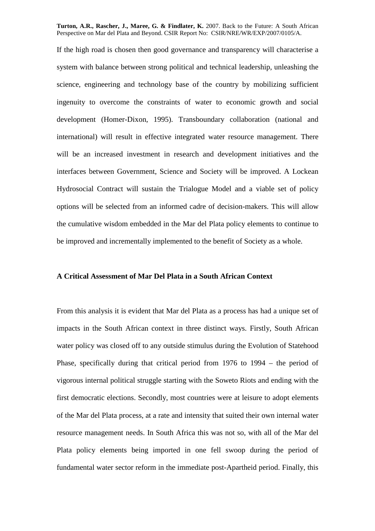If the high road is chosen then good governance and transparency will characterise a system with balance between strong political and technical leadership, unleashing the science, engineering and technology base of the country by mobilizing sufficient ingenuity to overcome the constraints of water to economic growth and social development (Homer-Dixon, 1995). Transboundary collaboration (national and international) will result in effective integrated water resource management. There will be an increased investment in research and development initiatives and the interfaces between Government, Science and Society will be improved. A Lockean Hydrosocial Contract will sustain the Trialogue Model and a viable set of policy options will be selected from an informed cadre of decision-makers. This will allow the cumulative wisdom embedded in the Mar del Plata policy elements to continue to be improved and incrementally implemented to the benefit of Society as a whole.

## **A Critical Assessment of Mar Del Plata in a South African Context**

From this analysis it is evident that Mar del Plata as a process has had a unique set of impacts in the South African context in three distinct ways. Firstly, South African water policy was closed off to any outside stimulus during the Evolution of Statehood Phase, specifically during that critical period from 1976 to 1994 – the period of vigorous internal political struggle starting with the Soweto Riots and ending with the first democratic elections. Secondly, most countries were at leisure to adopt elements of the Mar del Plata process, at a rate and intensity that suited their own internal water resource management needs. In South Africa this was not so, with all of the Mar del Plata policy elements being imported in one fell swoop during the period of fundamental water sector reform in the immediate post-Apartheid period. Finally, this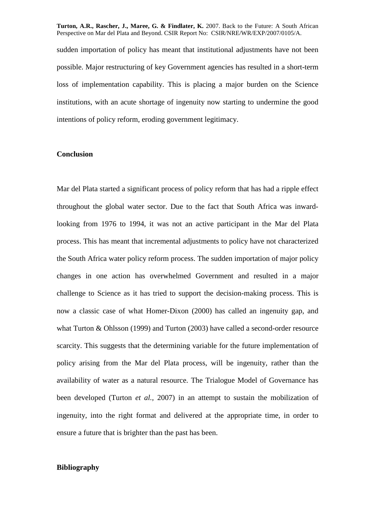sudden importation of policy has meant that institutional adjustments have not been possible. Major restructuring of key Government agencies has resulted in a short-term loss of implementation capability. This is placing a major burden on the Science institutions, with an acute shortage of ingenuity now starting to undermine the good intentions of policy reform, eroding government legitimacy.

# **Conclusion**

Mar del Plata started a significant process of policy reform that has had a ripple effect throughout the global water sector. Due to the fact that South Africa was inwardlooking from 1976 to 1994, it was not an active participant in the Mar del Plata process. This has meant that incremental adjustments to policy have not characterized the South Africa water policy reform process. The sudden importation of major policy changes in one action has overwhelmed Government and resulted in a major challenge to Science as it has tried to support the decision-making process. This is now a classic case of what Homer-Dixon (2000) has called an ingenuity gap, and what Turton & Ohlsson (1999) and Turton (2003) have called a second-order resource scarcity. This suggests that the determining variable for the future implementation of policy arising from the Mar del Plata process, will be ingenuity, rather than the availability of water as a natural resource. The Trialogue Model of Governance has been developed (Turton *et al.,* 2007) in an attempt to sustain the mobilization of ingenuity, into the right format and delivered at the appropriate time, in order to ensure a future that is brighter than the past has been.

# **Bibliography**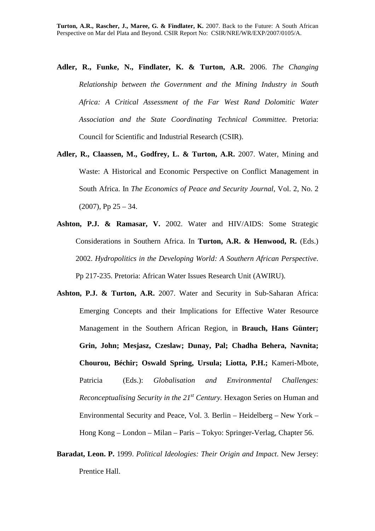- **Adler, R., Funke, N., Findlater, K. & Turton, A.R.** 2006. *The Changing Relationship between the Government and the Mining Industry in South Africa: A Critical Assessment of the Far West Rand Dolomitic Water Association and the State Coordinating Technical Committee.* Pretoria: Council for Scientific and Industrial Research (CSIR).
- **Adler, R., Claassen, M., Godfrey, L. & Turton, A.R.** 2007. Water, Mining and Waste: A Historical and Economic Perspective on Conflict Management in South Africa. In *The Economics of Peace and Security Journal*, Vol. 2, No. 2  $(2007)$ , Pp  $25 - 34$ .
- **Ashton, P.J. & Ramasar, V.** 2002. Water and HIV/AIDS: Some Strategic Considerations in Southern Africa. In **Turton, A.R. & Henwood, R.** (Eds.) 2002. *Hydropolitics in the Developing World: A Southern African Perspective*. Pp 217-235. Pretoria: African Water Issues Research Unit (AWIRU).
- **Ashton, P.J. & Turton, A.R.** 2007. Water and Security in Sub-Saharan Africa: Emerging Concepts and their Implications for Effective Water Resource Management in the Southern African Region, in **Brauch, Hans Günter; Grin, John; Mesjasz, Czeslaw; Dunay, Pal; Chadha Behera, Navnita; Chourou, Béchir; Oswald Spring, Ursula; Liotta, P.H.;** Kameri-Mbote, Patricia (Eds.): *Globalisation and Environmental Challenges: Reconceptualising Security in the 21st Century.* Hexagon Series on Human and Environmental Security and Peace, Vol. 3*.* Berlin – Heidelberg – New York – Hong Kong – London – Milan – Paris – Tokyo: Springer-Verlag, Chapter 56.
- **Baradat, Leon. P.** 1999. *Political Ideologies: Their Origin and Impact*. New Jersey: Prentice Hall.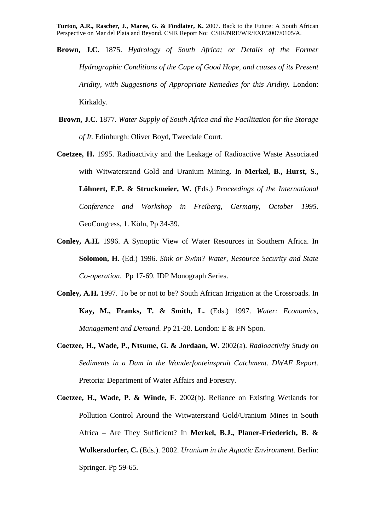- **Brown, J.C.** 1875. *Hydrology of South Africa; or Details of the Former Hydrographic Conditions of the Cape of Good Hope, and causes of its Present Aridity, with Suggestions of Appropriate Remedies for this Aridity.* London: Kirkaldy.
- **Brown, J.C.** 1877. *Water Supply of South Africa and the Facilitation for the Storage of It.* Edinburgh: Oliver Boyd, Tweedale Court.
- **Coetzee, H.** 1995. Radioactivity and the Leakage of Radioactive Waste Associated with Witwatersrand Gold and Uranium Mining. In **Merkel, B., Hurst, S., Löhnert, E.P. & Struckmeier, W.** (Eds.) *Proceedings of the International Conference and Workshop in Freiberg, Germany, October 1995*. GeoCongress, 1. Köln, Pp 34-39.
- **Conley, A.H.** 1996. A Synoptic View of Water Resources in Southern Africa. In **Solomon, H.** (Ed.) 1996. *Sink or Swim? Water, Resource Security and State Co-operation*. Pp 17-69. IDP Monograph Series.
- **Conley, A.H.** 1997. To be or not to be? South African Irrigation at the Crossroads. In **Kay, M., Franks, T. & Smith, L.** (Eds.) 1997. *Water: Economics, Management and Demand.* Pp 21-28. London: E & FN Spon.
- **Coetzee, H., Wade, P., Ntsume, G. & Jordaan, W.** 2002(a). *Radioactivity Study on Sediments in a Dam in the Wonderfonteinspruit Catchment. DWAF Report.* Pretoria: Department of Water Affairs and Forestry.
- **Coetzee, H., Wade, P. & Winde, F.** 2002(b). Reliance on Existing Wetlands for Pollution Control Around the Witwatersrand Gold/Uranium Mines in South Africa – Are They Sufficient? In **Merkel, B.J., Planer-Friederich, B. & Wolkersdorfer, C.** (Eds.). 2002. *Uranium in the Aquatic Environment.* Berlin: Springer. Pp 59-65.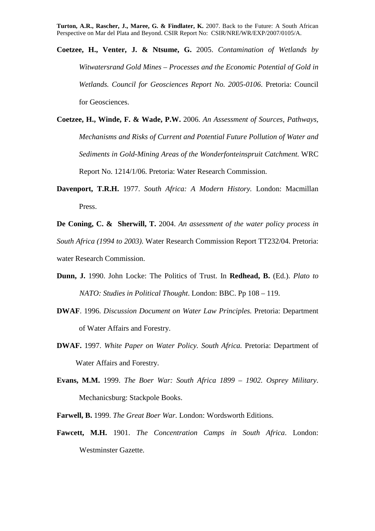- **Coetzee, H., Venter, J. & Ntsume, G.** 2005. *Contamination of Wetlands by Witwatersrand Gold Mines – Processes and the Economic Potential of Gold in Wetlands. Council for Geosciences Report No. 2005-0106*. Pretoria: Council for Geosciences.
- **Coetzee, H., Winde, F. & Wade, P.W.** 2006. *An Assessment of Sources, Pathways, Mechanisms and Risks of Current and Potential Future Pollution of Water and Sediments in Gold-Mining Areas of the Wonderfonteinspruit Catchment.* WRC Report No. 1214/1/06. Pretoria: Water Research Commission.
- **Davenport, T.R.H.** 1977. *South Africa: A Modern History.* London: Macmillan Press.

**De Coning, C. & Sherwill, T.** 2004. *An assessment of the water policy process in South Africa (1994 to 2003)*. Water Research Commission Report TT232/04. Pretoria: water Research Commission.

- **Dunn, J.** 1990. John Locke: The Politics of Trust. In **Redhead, B.** (Ed.). *Plato to NATO: Studies in Political Thought*. London: BBC. Pp 108 – 119.
- **DWAF**. 1996. *Discussion Document on Water Law Principles.* Pretoria: Department of Water Affairs and Forestry.
- **DWAF.** 1997. *White Paper on Water Policy. South Africa.* Pretoria: Department of Water Affairs and Forestry.
- **Evans, M.M.** 1999. *The Boer War: South Africa 1899 1902. Osprey Military*. Mechanicsburg: Stackpole Books.
- **Farwell, B.** 1999. *The Great Boer War.* London: Wordsworth Editions.
- **Fawcett, M.H.** 1901. *The Concentration Camps in South Africa*. London: Westminster Gazette.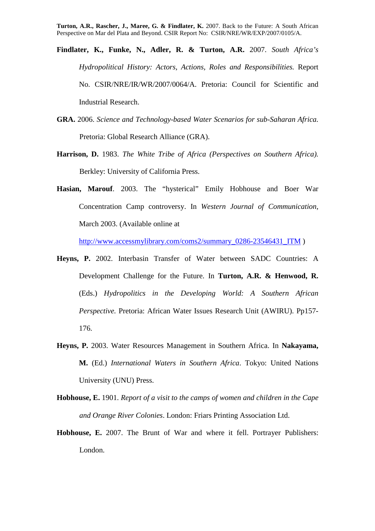- **Findlater, K., Funke, N., Adler, R. & Turton, A.R.** 2007. *South Africa's Hydropolitical History: Actors, Actions, Roles and Responsibilities.* Report No. CSIR/NRE/IR/WR/2007/0064/A. Pretoria: Council for Scientific and Industrial Research.
- **GRA.** 2006. *Science and Technology-based Water Scenarios for sub-Saharan Africa.* Pretoria: Global Research Alliance (GRA).
- **Harrison, D.** 1983. *The White Tribe of Africa (Perspectives on Southern Africa).* Berkley: University of California Press.
- **Hasian, Marouf**. 2003. The "hysterical" Emily Hobhouse and Boer War Concentration Camp controversy. In *Western Journal of Communication*, March 2003. (Available online at

http://www.accessmylibrary.com/coms2/summary\_0286-23546431\_ITM )

- **Heyns, P.** 2002. Interbasin Transfer of Water between SADC Countries: A Development Challenge for the Future. In **Turton, A.R. & Henwood, R.** (Eds.) *Hydropolitics in the Developing World: A Southern African Perspective.* Pretoria: African Water Issues Research Unit (AWIRU). Pp157- 176.
- **Heyns, P.** 2003. Water Resources Management in Southern Africa. In **Nakayama, M.** (Ed.) *International Waters in Southern Africa*. Tokyo: United Nations University (UNU) Press.
- **Hobhouse, E.** 1901. *Report of a visit to the camps of women and children in the Cape and Orange River Colonies*. London: Friars Printing Association Ltd.
- **Hobhouse, E.** 2007. The Brunt of War and where it fell. Portrayer Publishers: London.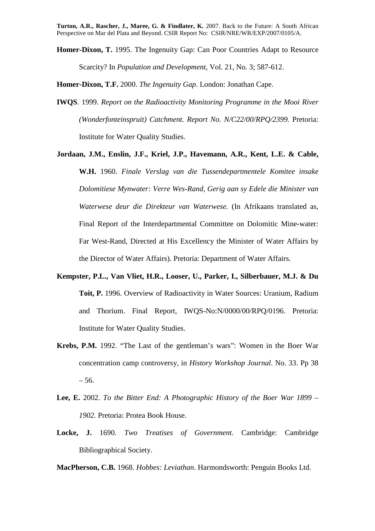**Homer-Dixon, T.** 1995. The Ingenuity Gap: Can Poor Countries Adapt to Resource Scarcity? In *Population and Development*, Vol. 21, No. 3; 587-612.

**Homer-Dixon, T.F.** 2000. *The Ingenuity Gap*. London: Jonathan Cape.

- **IWQS**. 1999. *Report on the Radioactivity Monitoring Programme in the Mooi River (Wonderfonteinspruit) Catchment. Report No. N/C22/00/RPQ/2399.* Pretoria: Institute for Water Quality Studies.
- **Jordaan, J.M., Enslin, J.F., Kriel, J.P., Havemann, A.R., Kent, L.E. & Cable, W.H.** 1960. *Finale Verslag van die Tussendepartmentele Komitee insake Dolomitiese Mynwater: Verre Wes-Rand, Gerig aan sy Edele die Minister van Waterwese deur die Direkteur van Waterwese.* (In Afrikaans translated as, Final Report of the Interdepartmental Committee on Dolomitic Mine-water: Far West-Rand, Directed at His Excellency the Minister of Water Affairs by the Director of Water Affairs). Pretoria: Department of Water Affairs.
- **Kempster, P.L., Van Vliet, H.R., Looser, U., Parker, I., Silberbauer, M.J. & Du Toit, P.** 1996. Overview of Radioactivity in Water Sources: Uranium, Radium and Thorium. Final Report, IWQS-No:N/0000/00/RPQ/0196. Pretoria: Institute for Water Quality Studies.
- **Krebs, P.M.** 1992. "The Last of the gentleman's wars": Women in the Boer War concentration camp controversy, in *History Workshop Journal*. No. 33. Pp 38 – 56.
- **Lee, E.** 2002. *To the Bitter End: A Photographic History of the Boer War 1899 1902.* Pretoria: Protea Book House.
- **Locke, J.** 1690. *Two Treatises of Government*. Cambridge: Cambridge Bibliographical Society.

**MacPherson, C.B.** 1968. *Hobbes: Leviathan*. Harmondsworth: Penguin Books Ltd.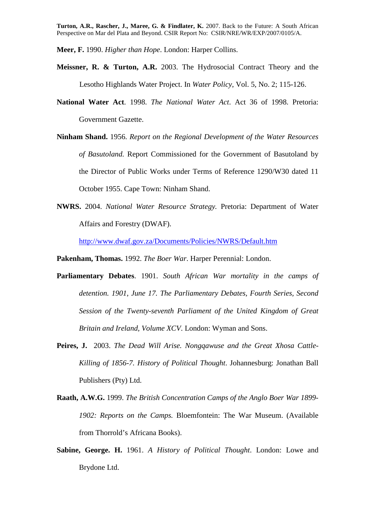**Meer, F.** 1990. *Higher than Hope*. London: Harper Collins.

- **Meissner, R. & Turton, A.R.** 2003. The Hydrosocial Contract Theory and the Lesotho Highlands Water Project. In *Water Policy*, Vol. 5, No. 2; 115-126.
- **National Water Act**. 1998. *The National Water Act*. Act 36 of 1998. Pretoria: Government Gazette.
- **Ninham Shand.** 1956. *Report on the Regional Development of the Water Resources of Basutoland.* Report Commissioned for the Government of Basutoland by the Director of Public Works under Terms of Reference 1290/W30 dated 11 October 1955. Cape Town: Ninham Shand.
- **NWRS.** 2004. *National Water Resource Strategy.* Pretoria: Department of Water Affairs and Forestry (DWAF).

http://www.dwaf.gov.za/Documents/Policies/NWRS/Default.htm

**Pakenham, Thomas.** 1992. *The Boer War*. Harper Perennial: London.

- **Parliamentary Debates**. 1901. *South African War mortality in the camps of detention. 1901, June 17. The Parliamentary Debates, Fourth Series, Second Session of the Twenty-seventh Parliament of the United Kingdom of Great Britain and Ireland, Volume XCV*. London: Wyman and Sons.
- **Peires, J.** 2003. *The Dead Will Arise. Nongqawuse and the Great Xhosa Cattle-Killing of 1856-7. History of Political Thought*. Johannesburg: Jonathan Ball Publishers (Pty) Ltd.
- **Raath, A.W.G.** 1999. *The British Concentration Camps of the Anglo Boer War 1899- 1902: Reports on the Camps.* Bloemfontein: The War Museum. (Available from Thorrold's Africana Books).
- **Sabine, George. H.** 1961. *A History of Political Thought*. London: Lowe and Brydone Ltd.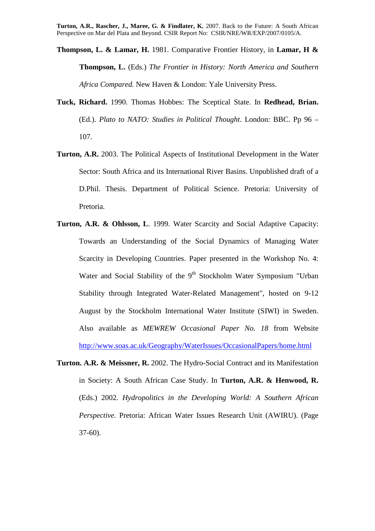**Thompson, L. & Lamar, H.** 1981. Comparative Frontier History, in **Lamar, H & Thompson, L.** (Eds.) *The Frontier in History: North America and Southern Africa Compared.* New Haven & London: Yale University Press.

- **Tuck, Richard.** 1990. Thomas Hobbes: The Sceptical State. In **Redhead, Brian.** (Ed.). *Plato to NATO: Studies in Political Thought*. London: BBC. Pp 96 – 107.
- **Turton, A.R.** 2003. The Political Aspects of Institutional Development in the Water Sector: South Africa and its International River Basins. Unpublished draft of a D.Phil. Thesis. Department of Political Science. Pretoria: University of Pretoria.
- **Turton, A.R. & Ohlsson, L**. 1999. Water Scarcity and Social Adaptive Capacity: Towards an Understanding of the Social Dynamics of Managing Water Scarcity in Developing Countries. Paper presented in the Workshop No. 4: Water and Social Stability of the 9<sup>th</sup> Stockholm Water Symposium "Urban Stability through Integrated Water-Related Management", hosted on 9-12 August by the Stockholm International Water Institute (SIWI) in Sweden. Also available as *MEWREW Occasional Paper No. 18* from Website http://www.soas.ac.uk/Geography/WaterIssues/OccasionalPapers/home.html
- **Turton. A.R. & Meissner, R.** 2002. The Hydro-Social Contract and its Manifestation in Society: A South African Case Study. In **Turton, A.R. & Henwood, R.** (Eds.) 2002. *Hydropolitics in the Developing World: A Southern African Perspective.* Pretoria: African Water Issues Research Unit (AWIRU). (Page 37-60).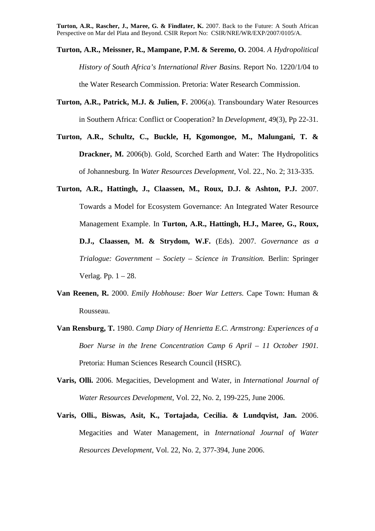- **Turton, A.R., Meissner, R., Mampane, P.M. & Seremo, O.** 2004. *A Hydropolitical History of South Africa's International River Basins.* Report No. 1220/1/04 to the Water Research Commission. Pretoria: Water Research Commission.
- **Turton, A.R., Patrick, M.J. & Julien, F.** 2006(a). Transboundary Water Resources in Southern Africa: Conflict or Cooperation? In *Development*, 49(3), Pp 22-31.
- **Turton, A.R., Schultz, C., Buckle, H, Kgomongoe, M., Malungani, T. & Drackner, M.** 2006(b). Gold, Scorched Earth and Water: The Hydropolitics of Johannesburg. In *Water Resources Development*, Vol. 22., No. 2; 313-335.
- **Turton, A.R., Hattingh, J., Claassen, M., Roux, D.J. & Ashton, P.J.** 2007. Towards a Model for Ecosystem Governance: An Integrated Water Resource Management Example. In **Turton, A.R., Hattingh, H.J., Maree, G., Roux, D.J., Claassen, M. & Strydom, W.F.** (Eds). 2007. *Governance as a Trialogue: Government – Society – Science in Transition.* Berlin: Springer Verlag. Pp. 1 – 28.
- **Van Reenen, R.** 2000. *Emily Hobhouse: Boer War Letters.* Cape Town: Human & Rousseau.
- **Van Rensburg, T.** 1980. *Camp Diary of Henrietta E.C. Armstrong: Experiences of a Boer Nurse in the Irene Concentration Camp 6 April – 11 October 1901.* Pretoria: Human Sciences Research Council (HSRC).
- **Varis, Olli.** 2006. Megacities, Development and Water, in *International Journal of Water Resources Development*, Vol. 22, No. 2, 199-225, June 2006.
- **Varis, Olli., Biswas, Asit, K., Tortajada, Cecilia. & Lundqvist, Jan.** 2006. Megacities and Water Management, in *International Journal of Water Resources Development*, Vol. 22, No. 2, 377-394, June 2006.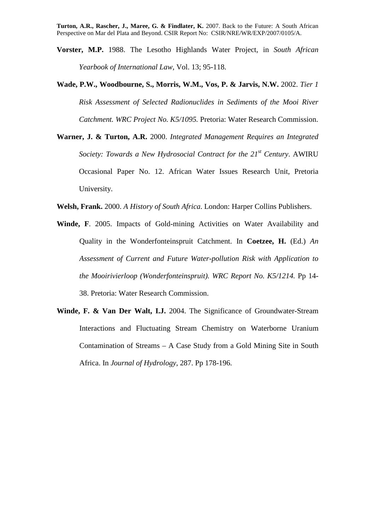- **Vorster, M.P.** 1988. The Lesotho Highlands Water Project, in *South African Yearbook of International Law*, Vol. 13; 95-118.
- **Wade, P.W., Woodbourne, S., Morris, W.M., Vos, P. & Jarvis, N.W.** 2002. *Tier 1 Risk Assessment of Selected Radionuclides in Sediments of the Mooi River Catchment. WRC Project No. K5/1095.* Pretoria: Water Research Commission.
- **Warner, J. & Turton, A.R.** 2000. *Integrated Management Requires an Integrated Society: Towards a New Hydrosocial Contract for the 21st Century*. AWIRU Occasional Paper No. 12. African Water Issues Research Unit, Pretoria University.
- **Welsh, Frank.** 2000. *A History of South Africa*. London: Harper Collins Publishers.
- **Winde, F**. 2005. Impacts of Gold-mining Activities on Water Availability and Quality in the Wonderfonteinspruit Catchment. In **Coetzee, H.** (Ed.) *An Assessment of Current and Future Water-pollution Risk with Application to the Mooirivierloop (Wonderfonteinspruit). WRC Report No. K5/1214.* Pp 14- 38. Pretoria: Water Research Commission.
- **Winde, F. & Van Der Walt, I.J.** 2004. The Significance of Groundwater-Stream Interactions and Fluctuating Stream Chemistry on Waterborne Uranium Contamination of Streams – A Case Study from a Gold Mining Site in South Africa. In *Journal of Hydrology*, 287. Pp 178-196.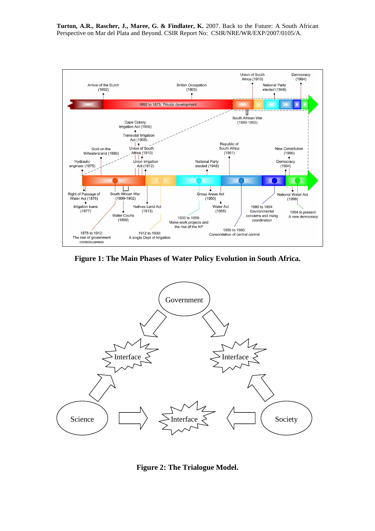

**Figure 1: The Main Phases of Water Policy Evolution in South Africa.** 



**Figure 2: The Trialogue Model.**